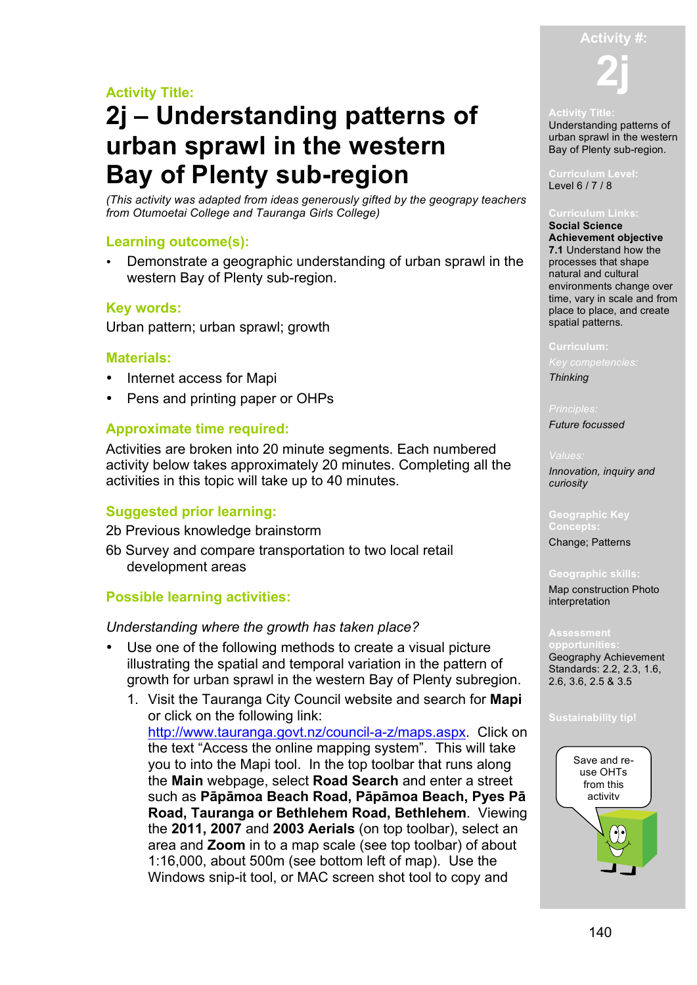# **Activity Title:**

# **2j – Understanding patterns of urban sprawl in the western Bay of Plenty sub-region**

*(This activity was adapted from ideas generously gifted by the geograpy teachers from Otumoetai College and Tauranga Girls College)*

# **Learning outcome(s):**

• Demonstrate a geographic understanding of urban sprawl in the western Bay of Plenty sub-region.

# **Key words:**

Urban pattern; urban sprawl; growth

# **Materials:**

- Internet access for Mapi
- Pens and printing paper or OHPs

# **Approximate time required:**

Activities are broken into 20 minute segments. Each numbered activity below takes approximately 20 minutes. Completing all the activities in this topic will take up to 40 minutes.

# **Suggested prior learning:**

2b Previous knowledge brainstorm

6b Survey and compare transportation to two local retail development areas

# **Possible learning activities:**

# *Understanding where the growth has taken place?*

- Use one of the following methods to create a visual picture illustrating the spatial and temporal variation in the pattern of growth for urban sprawl in the western Bay of Plenty subregion.
	- 1. Visit the Tauranga City Council website and search for **Mapi** or click on the following link: http://www.tauranga.govt.nz/council-a-z/maps.aspx. Click on the text "Access the online mapping system". This will take you to into the Mapi tool. In the top toolbar that runs along the **Main** webpage, select **Road Search** and enter a street such as **Pāpāmoa Beach Road, Pāpāmoa Beach, Pyes Pā Road, Tauranga or Bethlehem Road, Bethlehem**. Viewing the **2011, 2007** and **2003 Aerials** (on top toolbar), select an area and **Zoom** in to a map scale (see top toolbar) of about 1:16,000, about 500m (see bottom left of map). Use the Windows snip-it tool, or MAC screen shot tool to copy and



## **Activity Title:**

Understanding patterns of urban sprawl in the western Bay of Plenty sub-region.

Level 6 / 7 / 8

### **Curriculum Links:**

**Social Science Achievement objective 7.1** Understand how the processes that shape natural and cultural environments change over time, vary in scale and from place to place, and create spatial patterns.

### **Curriculum:**

*Thinking*

*Future focussed*

### *Values:*

*Innovation, inquiry and curiosity* 

**Concepts:** Change; Patterns

### **Geographic skills:**

Map construction Photo interpretation

Geography Achievement Standards: 2.2, 2.3, 1.6, 2.6, 3.6, 2.5 & 3.5